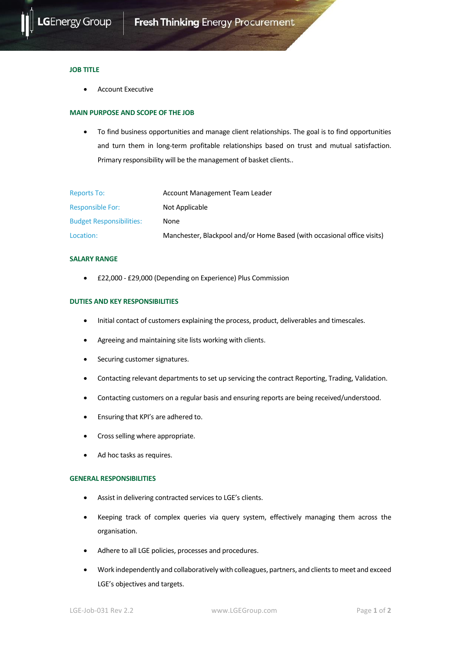

#### **JOB TITLE**

• Account Executive

### **MAIN PURPOSE AND SCOPE OF THE JOB**

• To find business opportunities and manage client relationships. The goal is to find opportunities and turn them in long-term profitable relationships based on trust and mutual satisfaction. Primary responsibility will be the management of basket clients..

| <b>Reports To:</b>              | Account Management Team Leader                                          |
|---------------------------------|-------------------------------------------------------------------------|
| <b>Responsible For:</b>         | Not Applicable                                                          |
| <b>Budget Responsibilities:</b> | None                                                                    |
| Location:                       | Manchester, Blackpool and/or Home Based (with occasional office visits) |

## **SALARY RANGE**

• £22,000 - £29,000 (Depending on Experience) Plus Commission

#### **DUTIES AND KEY RESPONSIBILITIES**

- Initial contact of customers explaining the process, product, deliverables and timescales.
- Agreeing and maintaining site lists working with clients.
- Securing customer signatures.
- Contacting relevant departments to set up servicing the contract Reporting, Trading, Validation.
- Contacting customers on a regular basis and ensuring reports are being received/understood.
- Ensuring that KPI's are adhered to.
- Cross selling where appropriate.
- Ad hoc tasks as requires.

# **GENERAL RESPONSIBILITIES**

- Assist in delivering contracted services to LGE's clients.
- Keeping track of complex queries via query system, effectively managing them across the organisation.
- Adhere to all LGE policies, processes and procedures.
- Work independently and collaboratively with colleagues, partners, and clients to meet and exceed LGE's objectives and targets.